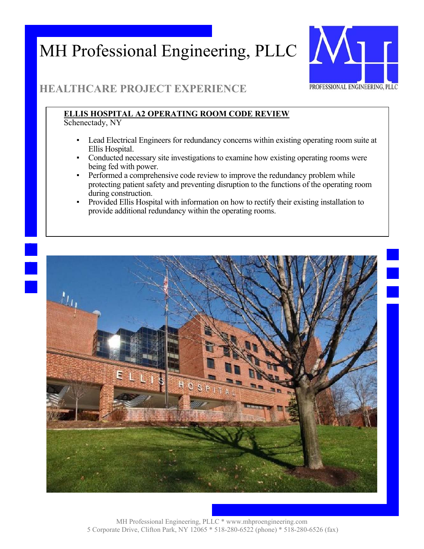

### **HEALTHCARE PROJECT EXPERIENCE**

### **ELLIS HOSPITAL A2 OPERATING ROOM CODE REVIEW**

Schenectady, NY

- Lead Electrical Engineers for redundancy concerns within existing operating room suite at Ellis Hospital.
- Conducted necessary site investigations to examine how existing operating rooms were being fed with power.
- **•** Performed a comprehensive code review to improve the redundancy problem while protecting patient safety and preventing disruption to the functions of the operating room during construction.
- Provided Ellis Hospital with information on how to rectify their existing installation to provide additional redundancy within the operating rooms.

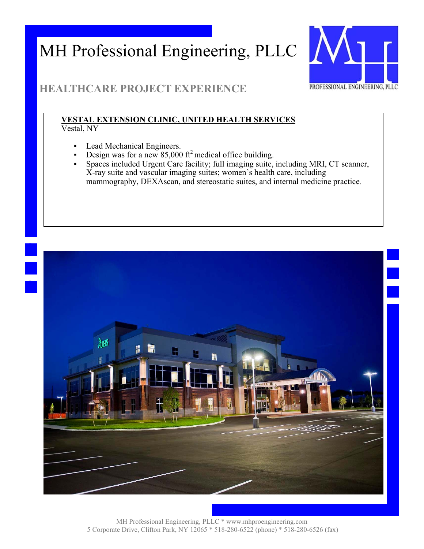

### **HEALTHCARE PROJECT EXPERIENCE**

#### **VESTAL EXTENSION CLINIC, UNITED HEALTH SERVICES**  Vestal, NY

- Lead Mechanical Engineers.
- Design was for a new  $85,000$  ft<sup>2</sup> medical office building.
- Spaces included Urgent Care facility; full imaging suite, including MRI, CT scanner, X-ray suite and vascular imaging suites; women's health care, including mammography, DEXAscan, and stereostatic suites, and internal medicine practice.

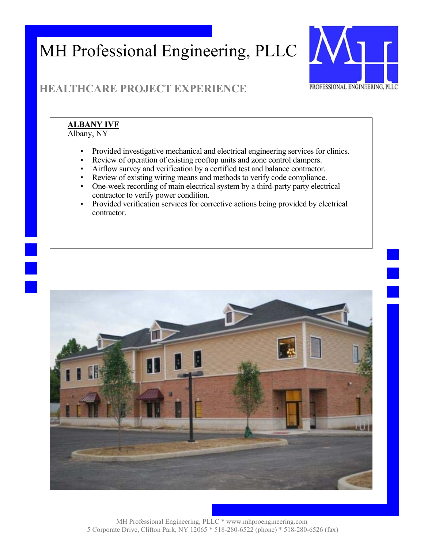

## **HEALTHCARE PROJECT EXPERIENCE**

### **ALBANY IVF**

Albany, NY

- Provided investigative mechanical and electrical engineering services for clinics.
- Review of operation of existing rooftop units and zone control dampers.
- Airflow survey and verification by a certified test and balance contractor.
- Review of existing wiring means and methods to verify code compliance.
- One-week recording of main electrical system by a third-party party electrical contractor to verify power condition.
- Provided verification services for corrective actions being provided by electrical contractor.

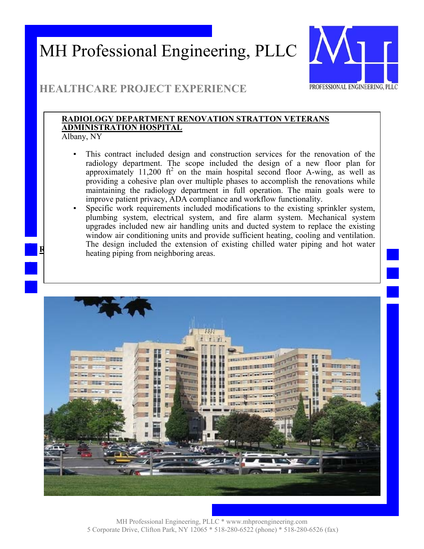

### **HEALTHCARE PROJECT EXPERIENCE**

#### **RADIOLOGY DEPARTMENT RENOVATION STRATTON VETERANS ADMINISTRATION HOSPITAL**

Albany, NY

**R**

- This contract included design and construction services for the renovation of the radiology department. The scope included the design of a new floor plan for approximately 11,200  $ft^2$  on the main hospital second floor A-wing, as well as providing a cohesive plan over multiple phases to accomplish the renovations while maintaining the radiology department in full operation. The main goals were to improve patient privacy, ADA compliance and workflow functionality.
- Specific work requirements included modifications to the existing sprinkler system, plumbing system, electrical system, and fire alarm system. Mechanical system upgrades included new air handling units and ducted system to replace the existing window air conditioning units and provide sufficient heating, cooling and ventilation. The design included the extension of existing chilled water piping and hot water heating piping from neighboring areas.

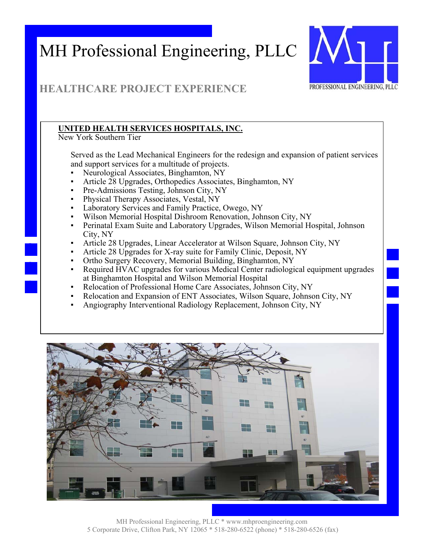

### **HEALTHCARE PROJECT EXPERIENCE**

#### **UNITED HEALTH SERVICES HOSPITALS, INC.**

New York Southern Tier

Served as the Lead Mechanical Engineers for the redesign and expansion of patient services and support services for a multitude of projects.

- Neurological Associates, Binghamton, NY
- Article 28 Upgrades, Orthopedics Associates, Binghamton, NY
- Pre-Admissions Testing, Johnson City, NY
- Physical Therapy Associates, Vestal, NY
- Laboratory Services and Family Practice, Owego, NY
- Wilson Memorial Hospital Dishroom Renovation, Johnson City, NY
- Perinatal Exam Suite and Laboratory Upgrades, Wilson Memorial Hospital, Johnson City, NY
- Article 28 Upgrades, Linear Accelerator at Wilson Square, Johnson City, NY
- Article 28 Upgrades for X-ray suite for Family Clinic, Deposit, NY
- Ortho Surgery Recovery, Memorial Building, Binghamton, NY
- Required HVAC upgrades for various Medical Center radiological equipment upgrades at Binghamton Hospital and Wilson Memorial Hospital
- Relocation of Professional Home Care Associates, Johnson City, NY
- Relocation and Expansion of ENT Associates, Wilson Square, Johnson City, NY
- Angiography Interventional Radiology Replacement, Johnson City, NY

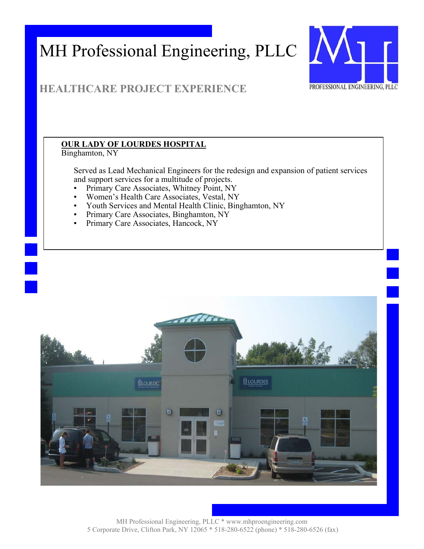

### **HEALTHCARE PROJECT EXPERIENCE**

#### **OUR LADY OF LOURDES HOSPITAL**

Binghamton, NY

Served as Lead Mechanical Engineers for the redesign and expansion of patient services and support services for a multitude of projects.

- **Primary Care Associates, Whitney Point, NY**
- Women's Health Care Associates, Vestal, NY
- Youth Services and Mental Health Clinic, Binghamton, NY
- Primary Care Associates, Binghamton, NY
- Primary Care Associates, Hancock, NY

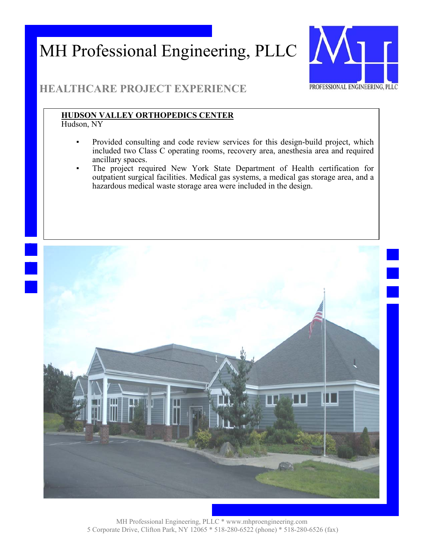

### **HEALTHCARE PROJECT EXPERIENCE**

#### **HUDSON VALLEY ORTHOPEDICS CENTER**

Hudson, NY

- Provided consulting and code review services for this design-build project, which included two Class C operating rooms, recovery area, anesthesia area and required ancillary spaces.
- The project required New York State Department of Health certification for outpatient surgical facilities. Medical gas systems, a medical gas storage area, and a hazardous medical waste storage area were included in the design.

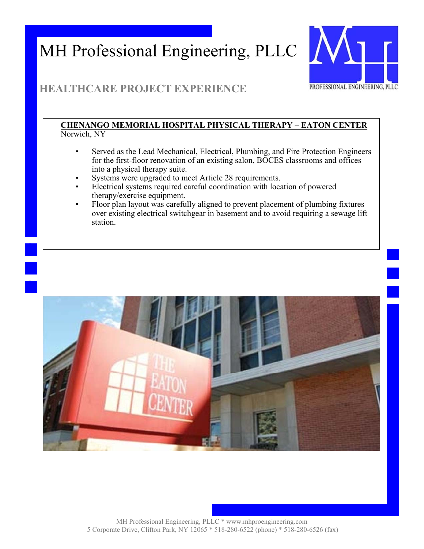

### **HEALTHCARE PROJECT EXPERIENCE**

#### **CHENANGO MEMORIAL HOSPITAL PHYSICAL THERAPY – EATON CENTER** Norwich, NY

- Served as the Lead Mechanical, Electrical, Plumbing, and Fire Protection Engineers for the first-floor renovation of an existing salon, BOCES classrooms and offices into a physical therapy suite.
- Systems were upgraded to meet Article 28 requirements.
- Electrical systems required careful coordination with location of powered therapy/exercise equipment.
- Floor plan layout was carefully aligned to prevent placement of plumbing fixtures over existing electrical switchgear in basement and to avoid requiring a sewage lift station.

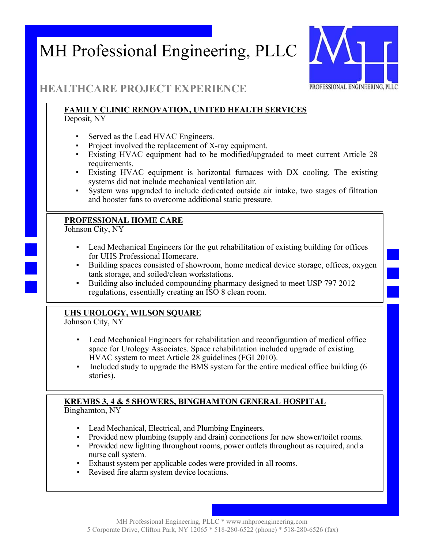

#### **HEALTHCARE PROJECT EXPERIENCE**

#### **FAMILY CLINIC RENOVATION, UNITED HEALTH SERVICES**  Deposit, NY

- Served as the Lead HVAC Engineers.
- Project involved the replacement of X-ray equipment.
- Existing HVAC equipment had to be modified/upgraded to meet current Article 28 requirements.
- Existing HVAC equipment is horizontal furnaces with DX cooling. The existing systems did not include mechanical ventilation air.
- System was upgraded to include dedicated outside air intake, two stages of filtration and booster fans to overcome additional static pressure.

#### **PROFESSIONAL HOME CARE**

Johnson City, NY

- Lead Mechanical Engineers for the gut rehabilitation of existing building for offices for UHS Professional Homecare.
- Building spaces consisted of showroom, home medical device storage, offices, oxygen tank storage, and soiled/clean workstations.
- Building also included compounding pharmacy designed to meet USP 797 2012 regulations, essentially creating an ISO 8 clean room.

#### **UHS UROLOGY, WILSON SQUARE**

Johnson City, NY

- Lead Mechanical Engineers for rehabilitation and reconfiguration of medical office space for Urology Associates. Space rehabilitation included upgrade of existing HVAC system to meet Article 28 guidelines (FGI 2010).
- Included study to upgrade the BMS system for the entire medical office building (6 stories).

#### **KREMBS 3, 4 & 5 SHOWERS, BINGHAMTON GENERAL HOSPITAL**  Binghamton, NY

- Lead Mechanical, Electrical, and Plumbing Engineers.
- Provided new plumbing (supply and drain) connections for new shower/toilet rooms.
- Provided new lighting throughout rooms, power outlets throughout as required, and a nurse call system.
- Exhaust system per applicable codes were provided in all rooms.
- Revised fire alarm system device locations.